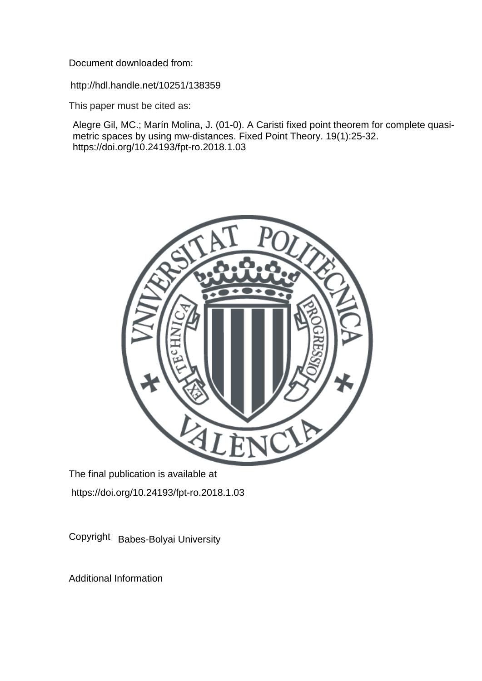Document downloaded from:

http://hdl.handle.net/10251/138359

This paper must be cited as:

Alegre Gil, MC.; Marín Molina, J. (01-0). A Caristi fixed point theorem for complete quasimetric spaces by using mw-distances. Fixed Point Theory. 19(1):25-32. https://doi.org/10.24193/fpt-ro.2018.1.03



The final publication is available at https://doi.org/10.24193/fpt-ro.2018.1.03

Copyright Babes-Bolyai University

Additional Information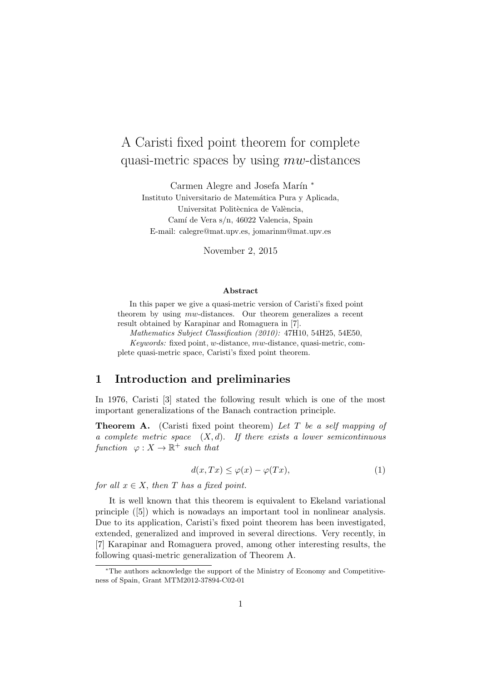# A Caristi fixed point theorem for complete quasi-metric spaces by using  $mw$ -distances

Carmen Alegre and Josefa Marín \*

Instituto Universitario de Matemática Pura y Aplicada, Universitat Politècnica de València, Camí de Vera s/n, 46022 Valencia, Spain E-mail: calegre@mat.upv.es, jomarinm@mat.upv.es

November 2, 2015

#### Abstract

In this paper we give a quasi-metric version of Caristi's fixed point theorem by using mw-distances. Our theorem generalizes a recent result obtained by Karapinar and Romaguera in [7].

Mathematics Subject Classification (2010): 47H10, 54H25, 54E50,

Keywords: fixed point, w-distance, mw-distance, quasi-metric, complete quasi-metric space, Caristi's fixed point theorem.

## 1 Introduction and preliminaries

In 1976, Caristi [3] stated the following result which is one of the most important generalizations of the Banach contraction principle.

**Theorem A.** (Caristi fixed point theorem) Let T be a self mapping of a complete metric space  $(X, d)$ . If there exists a lower semicontinuous function  $\varphi: X \to \mathbb{R}^+$  such that

$$
d(x,Tx) \le \varphi(x) - \varphi(Tx),\tag{1}
$$

for all  $x \in X$ , then T has a fixed point.

It is well known that this theorem is equivalent to Ekeland variational principle ([5]) which is nowadays an important tool in nonlinear analysis. Due to its application, Caristi's fixed point theorem has been investigated, extended, generalized and improved in several directions. Very recently, in [7] Karapinar and Romaguera proved, among other interesting results, the following quasi-metric generalization of Theorem A.

<sup>∗</sup>The authors acknowledge the support of the Ministry of Economy and Competitiveness of Spain, Grant MTM2012-37894-C02-01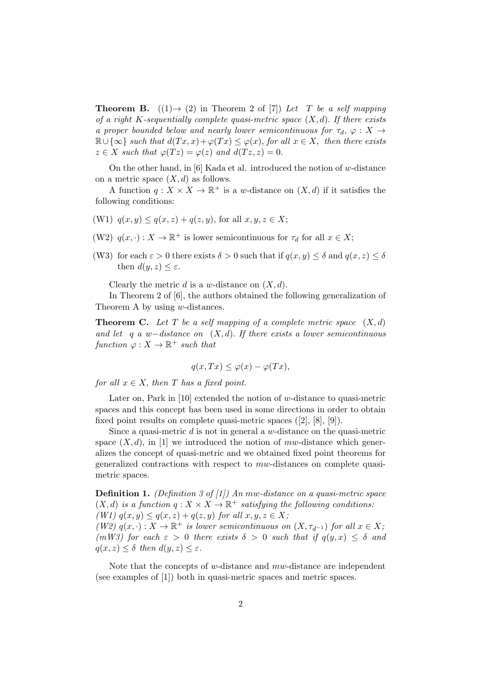**Theorem B.**  $((1) \rightarrow (2)$  in Theorem 2 of [7]) Let T be a self mapping of a right K-sequentially complete quasi-metric space  $(X, d)$ . If there exists a proper bounded below and nearly lower semicontinuous for  $\tau_d$ ,  $\varphi$  :  $X \rightarrow$  $\mathbb{R}\cup\{\infty\}$  such that  $d(Tx, x)+\varphi(Tx)\leq \varphi(x)$ , for all  $x\in X$ , then there exists  $z \in X$  such that  $\varphi(Tz) = \varphi(z)$  and  $d(Tz, z) = 0$ .

On the other hand, in  $[6]$  Kada et al. introduced the notion of w-distance on a metric space  $(X, d)$  as follows.

A function  $q: X \times X \to \mathbb{R}^+$  is a w-distance on  $(X, d)$  if it satisfies the following conditions:

- (W1)  $q(x, y) \leq q(x, z) + q(z, y)$ , for all  $x, y, z \in X$ ;
- (W2)  $q(x, \cdot) : X \to \mathbb{R}^+$  is lower semicontinuous for  $\tau_d$  for all  $x \in X$ ;
- (W3) for each  $\varepsilon > 0$  there exists  $\delta > 0$  such that if  $q(x, y) < \delta$  and  $q(x, z) < \delta$ then  $d(y, z) \leq \varepsilon$ .

Clearly the metric d is a w-distance on  $(X, d)$ .

In Theorem 2 of [6], the authors obtained the following generalization of Theorem A by using w-distances.

**Theorem C.** Let T be a self mapping of a complete metric space  $(X,d)$ and let q a w-distance on  $(X, d)$ . If there exists a lower semicontinuous function  $\varphi: X \to \mathbb{R}^+$  such that

$$
q(x,Tx) \le \varphi(x) - \varphi(Tx),
$$

for all  $x \in X$ , then T has a fixed point.

Later on, Park in [10] extended the notion of w-distance to quasi-metric spaces and this concept has been used in some directions in order to obtain fixed point results on complete quasi-metric spaces ([2], [8], [9]).

Since a quasi-metric  $d$  is not in general a  $w$ -distance on the quasi-metric space  $(X, d)$ , in [1] we introduced the notion of mw-distance which generalizes the concept of quasi-metric and we obtained fixed point theorems for generalized contractions with respect to mw-distances on complete quasimetric spaces.

**Definition 1.** (Definition 3 of [1]) An mw-distance on a quasi-metric space  $(X, d)$  is a function  $q: X \times X \to \mathbb{R}^+$  satisfying the following conditions: (W1)  $q(x, y) \leq q(x, z) + q(z, y)$  for all  $x, y, z \in X$ ; (W2)  $q(x, \cdot) : X \to \mathbb{R}^+$  is lower semicontinuous on  $(X, \tau_{d^{-1}})$  for all  $x \in X$ ; (mW3) for each  $\varepsilon > 0$  there exists  $\delta > 0$  such that if  $q(y,x) \leq \delta$  and

 $q(x, z) \leq \delta$  then  $d(y, z) \leq \varepsilon$ .

Note that the concepts of w-distance and  $mw$ -distance are independent (see examples of [1]) both in quasi-metric spaces and metric spaces.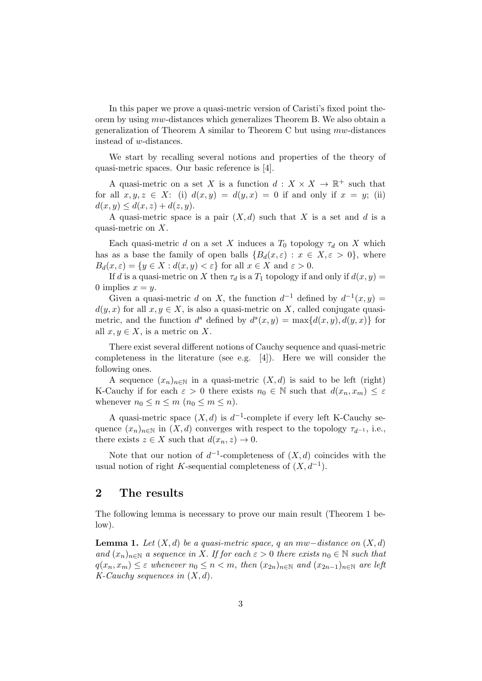In this paper we prove a quasi-metric version of Caristi's fixed point theorem by using mw-distances which generalizes Theorem B. We also obtain a generalization of Theorem A similar to Theorem C but using mw-distances instead of w-distances.

We start by recalling several notions and properties of the theory of quasi-metric spaces. Our basic reference is [4].

A quasi-metric on a set X is a function  $d: X \times X \to \mathbb{R}^+$  such that for all  $x, y, z \in X$ : (i)  $d(x, y) = d(y, x) = 0$  if and only if  $x = y$ ; (ii)  $d(x, y) \leq d(x, z) + d(z, y).$ 

A quasi-metric space is a pair  $(X, d)$  such that X is a set and d is a quasi-metric on X.

Each quasi-metric d on a set X induces a  $T_0$  topology  $\tau_d$  on X which has as a base the family of open balls  ${B_d(x, \varepsilon) : x \in X, \varepsilon > 0}$ , where  $B_d(x,\varepsilon) = \{y \in X : d(x,y) < \varepsilon\}$  for all  $x \in X$  and  $\varepsilon > 0$ .

If d is a quasi-metric on X then  $\tau_d$  is a  $T_1$  topology if and only if  $d(x, y) =$ 0 implies  $x = y$ .

Given a quasi-metric d on X, the function  $d^{-1}$  defined by  $d^{-1}(x, y) =$  $d(y, x)$  for all  $x, y \in X$ , is also a quasi-metric on X, called conjugate quasimetric, and the function  $d^s$  defined by  $d^s(x, y) = \max\{d(x, y), d(y, x)\}\)$ all  $x, y \in X$ , is a metric on X.

There exist several different notions of Cauchy sequence and quasi-metric completeness in the literature (see e.g. [4]). Here we will consider the following ones.

A sequence  $(x_n)_{n\in\mathbb{N}}$  in a quasi-metric  $(X,d)$  is said to be left (right) K-Cauchy if for each  $\varepsilon > 0$  there exists  $n_0 \in \mathbb{N}$  such that  $d(x_n, x_m) \leq \varepsilon$ whenever  $n_0 \leq n \leq m$   $(n_0 \leq m \leq n)$ .

A quasi-metric space  $(X, d)$  is  $d^{-1}$ -complete if every left K-Cauchy sequence  $(x_n)_{n\in\mathbb{N}}$  in  $(X,d)$  converges with respect to the topology  $\tau_{d^{-1}}$ , i.e., there exists  $z \in X$  such that  $d(x_n, z) \to 0$ .

Note that our notion of  $d^{-1}$ -completeness of  $(X, d)$  coincides with the usual notion of right K-sequential completeness of  $(X, d^{-1})$ .

#### 2 The results

The following lemma is necessary to prove our main result (Theorem 1 below).

**Lemma 1.** Let  $(X, d)$  be a quasi-metric space, q an mw−distance on  $(X, d)$ and  $(x_n)_{n\in\mathbb{N}}$  a sequence in X. If for each  $\varepsilon > 0$  there exists  $n_0 \in \mathbb{N}$  such that  $q(x_n, x_m) \leq \varepsilon$  whenever  $n_0 \leq n < m$ , then  $(x_{2n})_{n \in \mathbb{N}}$  and  $(x_{2n-1})_{n \in \mathbb{N}}$  are left  $K$ -Cauchy sequences in  $(X, d)$ .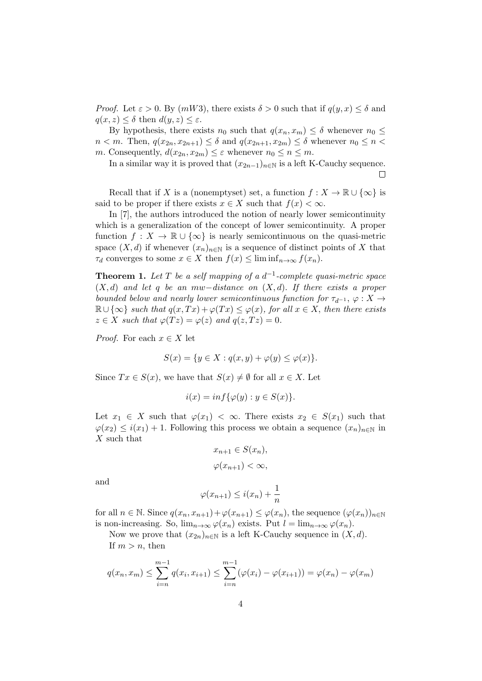*Proof.* Let  $\varepsilon > 0$ . By  $(mW3)$ , there exists  $\delta > 0$  such that if  $q(y, x) \leq \delta$  and  $q(x, z) \leq \delta$  then  $d(y, z) \leq \varepsilon$ .

By hypothesis, there exists  $n_0$  such that  $q(x_n, x_m) \leq \delta$  whenever  $n_0 \leq$  $n < m$ . Then,  $q(x_{2n}, x_{2n+1}) \leq \delta$  and  $q(x_{2n+1}, x_{2m}) \leq \delta$  whenever  $n_0 \leq n <$ m. Consequently,  $d(x_{2n}, x_{2m}) \leq \varepsilon$  whenever  $n_0 \leq n \leq m$ .

In a similar way it is proved that  $(x_{2n-1})_{n\in\mathbb{N}}$  is a left K-Cauchy sequence.  $\Box$ 

Recall that if X is a (nonemptyset) set, a function  $f: X \to \mathbb{R} \cup \{\infty\}$  is said to be proper if there exists  $x \in X$  such that  $f(x) < \infty$ .

In [7], the authors introduced the notion of nearly lower semicontinuity which is a generalization of the concept of lower semicontinuity. A proper function  $f: X \to \mathbb{R} \cup {\infty}$  is nearly semicontinuous on the quasi-metric space  $(X, d)$  if whenever  $(x_n)_{n \in \mathbb{N}}$  is a sequence of distinct points of X that  $\tau_d$  converges to some  $x \in X$  then  $f(x) \leq \liminf_{n \to \infty} f(x_n)$ .

**Theorem 1.** Let T be a self mapping of a  $d^{-1}$ -complete quasi-metric space  $(X, d)$  and let q be an mw−distance on  $(X, d)$ . If there exists a proper bounded below and nearly lower semicontinuous function for  $\tau_{d^{-1}}$ ,  $\varphi: X \rightarrow$  $\mathbb{R} \cup {\infty}$  such that  $q(x,Tx)+\varphi(Tx) \leq \varphi(x)$ , for all  $x \in X$ , then there exists  $z \in X$  such that  $\varphi(Tz) = \varphi(z)$  and  $q(z, Tz) = 0$ .

*Proof.* For each  $x \in X$  let

$$
S(x) = \{ y \in X : q(x, y) + \varphi(y) \le \varphi(x) \}.
$$

Since  $Tx \in S(x)$ , we have that  $S(x) \neq \emptyset$  for all  $x \in X$ . Let

$$
i(x) = inf{\varphi(y) : y \in S(x)}.
$$

Let  $x_1 \in X$  such that  $\varphi(x_1) < \infty$ . There exists  $x_2 \in S(x_1)$  such that  $\varphi(x_2) \leq i(x_1) + 1$ . Following this process we obtain a sequence  $(x_n)_{n \in \mathbb{N}}$  in X such that

$$
x_{n+1} \in S(x_n),
$$
  

$$
\varphi(x_{n+1}) < \infty,
$$

and

$$
\varphi(x_{n+1}) \le i(x_n) + \frac{1}{n}
$$

for all  $n \in \mathbb{N}$ . Since  $q(x_n, x_{n+1}) + \varphi(x_{n+1}) \leq \varphi(x_n)$ , the sequence  $(\varphi(x_n))_{n \in \mathbb{N}}$ is non-increasing. So,  $\lim_{n\to\infty}\varphi(x_n)$  exists. Put  $l=\lim_{n\to\infty}\varphi(x_n)$ .

Now we prove that  $(x_{2n})_{n\in\mathbb{N}}$  is a left K-Cauchy sequence in  $(X, d)$ . If  $m > n$ , then

$$
q(x_n, x_m) \le \sum_{i=n}^{m-1} q(x_i, x_{i+1}) \le \sum_{i=n}^{m-1} (\varphi(x_i) - \varphi(x_{i+1})) = \varphi(x_n) - \varphi(x_m)
$$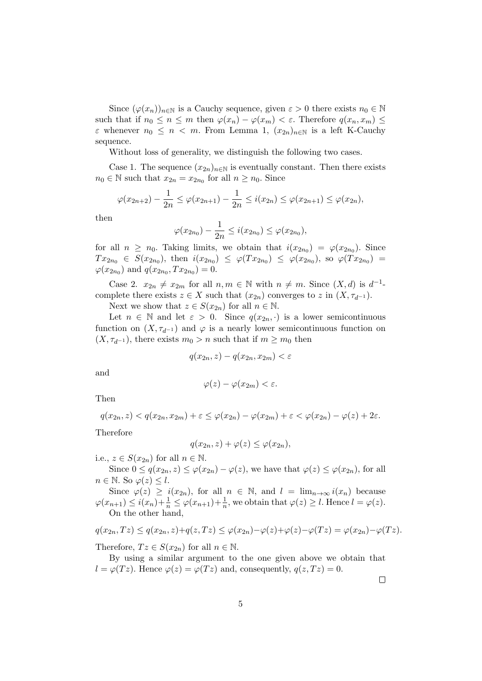Since  $(\varphi(x_n))_{n\in\mathbb{N}}$  is a Cauchy sequence, given  $\varepsilon > 0$  there exists  $n_0 \in \mathbb{N}$ such that if  $n_0 \leq n \leq m$  then  $\varphi(x_n) - \varphi(x_m) < \varepsilon$ . Therefore  $q(x_n, x_m) \leq$  $\varepsilon$  whenever  $n_0 \leq n < m$ . From Lemma 1,  $(x_{2n})_{n \in \mathbb{N}}$  is a left K-Cauchy sequence.

Without loss of generality, we distinguish the following two cases.

Case 1. The sequence  $(x_{2n})_{n\in\mathbb{N}}$  is eventually constant. Then there exists  $n_0 \in \mathbb{N}$  such that  $x_{2n} = x_{2n_0}$  for all  $n \ge n_0$ . Since

$$
\varphi(x_{2n+2}) - \frac{1}{2n} \leq \varphi(x_{2n+1}) - \frac{1}{2n} \leq i(x_{2n}) \leq \varphi(x_{2n+1}) \leq \varphi(x_{2n}),
$$

then

$$
\varphi(x_{2n_0}) - \frac{1}{2n} \leq i(x_{2n_0}) \leq \varphi(x_{2n_0}),
$$

for all  $n \geq n_0$ . Taking limits, we obtain that  $i(x_{2n_0}) = \varphi(x_{2n_0})$ . Since  $Tx_{2n_0} \in S(x_{2n_0})$ , then  $i(x_{2n_0}) \leq \varphi(Tx_{2n_0}) \leq \varphi(x_{2n_0})$ , so  $\varphi(Tx_{2n_0}) =$  $\varphi(x_{2n_0})$  and  $q(x_{2n_0}, Tx_{2n_0}) = 0$ .

Case 2.  $x_{2n} \neq x_{2m}$  for all  $n, m \in \mathbb{N}$  with  $n \neq m$ . Since  $(X, d)$  is  $d^{-1}$ complete there exists  $z \in X$  such that  $(x_{2n})$  converges to z in  $(X, \tau_{d^{-1}})$ .

Next we show that  $z \in S(x_{2n})$  for all  $n \in \mathbb{N}$ .

Let  $n \in \mathbb{N}$  and let  $\varepsilon > 0$ . Since  $q(x_{2n}, \cdot)$  is a lower semicontinuous function on  $(X, \tau_{d^{-1}})$  and  $\varphi$  is a nearly lower semicontinuous function on  $(X, \tau_{d^{-1}})$ , there exists  $m_0 > n$  such that if  $m \geq m_0$  then

$$
q(x_{2n}, z) - q(x_{2n}, x_{2m}) < \varepsilon
$$

and

$$
\varphi(z)-\varphi(x_{2m})<\varepsilon.
$$

Then

$$
q(x_{2n},z) < q(x_{2n},x_{2m}) + \varepsilon \leq \varphi(x_{2n}) - \varphi(x_{2m}) + \varepsilon < \varphi(x_{2n}) - \varphi(z) + 2\varepsilon.
$$

Therefore

$$
q(x_{2n}, z) + \varphi(z) \leq \varphi(x_{2n}),
$$

i.e.,  $z \in S(x_{2n})$  for all  $n \in \mathbb{N}$ .

Since  $0 \le q(x_{2n}, z) \le \varphi(x_{2n}) - \varphi(z)$ , we have that  $\varphi(z) \le \varphi(x_{2n})$ , for all  $n \in \mathbb{N}$ . So  $\varphi(z) \leq l$ .

Since  $\varphi(z) \geq i(x_{2n})$ , for all  $n \in \mathbb{N}$ , and  $l = \lim_{n \to \infty} i(x_n)$  because  $\varphi(x_{n+1}) \leq i(x_n) + \frac{1}{n} \leq \varphi(x_{n+1}) + \frac{1}{n}$ , we obtain that  $\varphi(z) \geq l$ . Hence  $l = \varphi(z)$ . On the other hand,

$$
q(x_{2n},Tz) \le q(x_{2n},z) + q(z,Tz) \le \varphi(x_{2n}) - \varphi(z) + \varphi(z) - \varphi(Tz) = \varphi(x_{2n}) - \varphi(Tz).
$$

Therefore,  $Tz \in S(x_{2n})$  for all  $n \in \mathbb{N}$ .

By using a similar argument to the one given above we obtain that  $l = \varphi(Tz)$ . Hence  $\varphi(z) = \varphi(Tz)$  and, consequently,  $q(z, Tz) = 0$ .

 $\Box$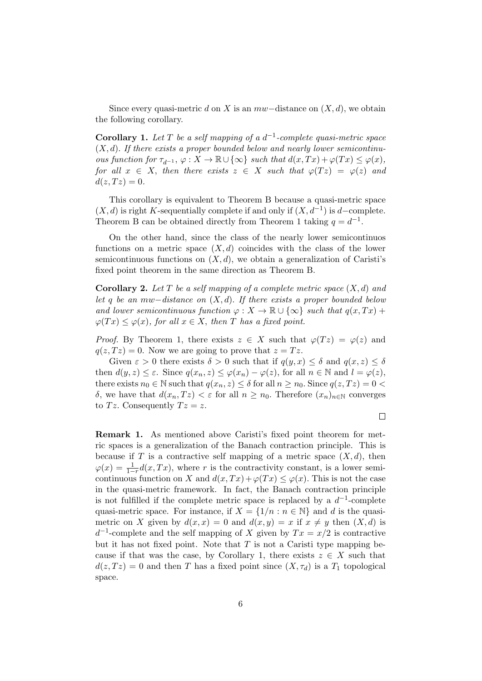Since every quasi-metric d on X is an  $mw$ -distance on  $(X, d)$ , we obtain the following corollary.

**Corollary 1.** Let T be a self mapping of a  $d^{-1}$ -complete quasi-metric space  $(X, d)$ . If there exists a proper bounded below and nearly lower semicontinuous function for  $\tau_{d^{-1}}$ ,  $\varphi: X \to \mathbb{R} \cup {\infty}$  such that  $d(x,Tx) + \varphi(Tx) \leq \varphi(x)$ , for all  $x \in X$ , then there exists  $z \in X$  such that  $\varphi(Tz) = \varphi(z)$  and  $d(z, Tz) = 0.$ 

This corollary is equivalent to Theorem B because a quasi-metric space  $(X, d)$  is right K-sequentially complete if and only if  $(X, d^{-1})$  is d-complete. Theorem B can be obtained directly from Theorem 1 taking  $q = d^{-1}$ .

On the other hand, since the class of the nearly lower semicontinuos functions on a metric space  $(X, d)$  coincides with the class of the lower semicontinuous functions on  $(X, d)$ , we obtain a generalization of Caristi's fixed point theorem in the same direction as Theorem B.

**Corollary 2.** Let T be a self mapping of a complete metric space  $(X, d)$  and let q be an mw−distance on  $(X, d)$ . If there exists a proper bounded below and lower semicontinuous function  $\varphi: X \to \mathbb{R} \cup {\infty}$  such that  $q(x,Tx)$  +  $\varphi(Tx) \leq \varphi(x)$ , for all  $x \in X$ , then T has a fixed point.

*Proof.* By Theorem 1, there exists  $z \in X$  such that  $\varphi(Tz) = \varphi(z)$  and  $q(z, T z) = 0$ . Now we are going to prove that  $z = T z$ .

Given  $\varepsilon > 0$  there exists  $\delta > 0$  such that if  $q(y, x) \leq \delta$  and  $q(x, z) \leq \delta$ then  $d(y, z) \leq \varepsilon$ . Since  $q(x_n, z) \leq \varphi(x_n) - \varphi(z)$ , for all  $n \in \mathbb{N}$  and  $l = \varphi(z)$ , there exists  $n_0 \in \mathbb{N}$  such that  $q(x_n, z) \leq \delta$  for all  $n \geq n_0$ . Since  $q(z, Tz) = 0$ δ, we have that  $d(x_n, Tz) < \varepsilon$  for all  $n \geq n_0$ . Therefore  $(x_n)_{n \in \mathbb{N}}$  converges to Tz. Consequently  $Tz = z$ .

 $\Box$ 

Remark 1. As mentioned above Caristi's fixed point theorem for metric spaces is a generalization of the Banach contraction principle. This is because if T is a contractive self mapping of a metric space  $(X, d)$ , then  $\varphi(x) = \frac{1}{1-r}d(x,Tx)$ , where r is the contractivity constant, is a lower semicontinuous function on X and  $d(x,Tx)+\varphi(Tx)\leq \varphi(x)$ . This is not the case in the quasi-metric framework. In fact, the Banach contraction principle is not fulfilled if the complete metric space is replaced by a  $d^{-1}$ -complete quasi-metric space. For instance, if  $X = \{1/n : n \in \mathbb{N}\}\$ and d is the quasimetric on X given by  $d(x, x) = 0$  and  $d(x, y) = x$  if  $x \neq y$  then  $(X, d)$  is  $d^{-1}$ -complete and the self mapping of X given by  $Tx = x/2$  is contractive but it has not fixed point. Note that  $T$  is not a Caristi type mapping because if that was the case, by Corollary 1, there exists  $z \in X$  such that  $d(z, Tz) = 0$  and then T has a fixed point since  $(X, \tau_d)$  is a  $T_1$  topological space.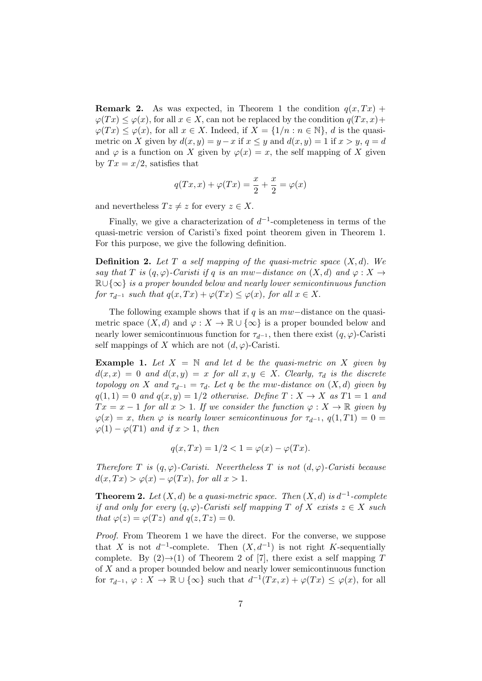**Remark 2.** As was expected, in Theorem 1 the condition  $q(x,Tx)$  +  $\varphi(Tx) \leq \varphi(x)$ , for all  $x \in X$ , can not be replaced by the condition  $q(Tx, x)$ +  $\varphi(Tx) \leq \varphi(x)$ , for all  $x \in X$ . Indeed, if  $X = \{1/n : n \in \mathbb{N}\}\$ , d is the quasimetric on X given by  $d(x, y) = y - x$  if  $x \le y$  and  $d(x, y) = 1$  if  $x > y$ ,  $q = d$ and  $\varphi$  is a function on X given by  $\varphi(x) = x$ , the self mapping of X given by  $Tx = x/2$ , satisfies that

$$
q(Tx,x)+\varphi(Tx)=\frac{x}{2}+\frac{x}{2}=\varphi(x)
$$

and nevertheless  $Tz \neq z$  for every  $z \in X$ .

Finally, we give a characterization of  $d^{-1}$ -completeness in terms of the quasi-metric version of Caristi's fixed point theorem given in Theorem 1. For this purpose, we give the following definition.

**Definition 2.** Let T a self mapping of the quasi-metric space  $(X, d)$ . We say that T is  $(q, \varphi)$ -Caristi if q is an mw−distance on  $(X, d)$  and  $\varphi : X \rightarrow$  $\mathbb{R}\cup\{\infty\}$  is a proper bounded below and nearly lower semicontinuous function for  $\tau_{d^{-1}}$  such that  $q(x,Tx)+\varphi(Tx)\leq \varphi(x)$ , for all  $x\in X$ .

The following example shows that if q is an  $mw$ -distance on the quasimetric space  $(X, d)$  and  $\varphi : X \to \mathbb{R} \cup {\infty}$  is a proper bounded below and nearly lower semicontinuous function for  $\tau_{d^{-1}}$ , then there exist  $(q, \varphi)$ -Caristi self mappings of X which are not  $(d, \varphi)$ -Caristi.

**Example 1.** Let  $X = \mathbb{N}$  and let d be the quasi-metric on X given by  $d(x, x) = 0$  and  $d(x, y) = x$  for all  $x, y \in X$ . Clearly,  $\tau_d$  is the discrete topology on X and  $\tau_{d-1} = \tau_d$ . Let q be the mw-distance on  $(X, d)$  given by  $q(1, 1) = 0$  and  $q(x, y) = 1/2$  otherwise. Define  $T: X \rightarrow X$  as  $T1 = 1$  and  $Tx = x - 1$  for all  $x > 1$ . If we consider the function  $\varphi : X \to \mathbb{R}$  given by  $\varphi(x) = x$ , then  $\varphi$  is nearly lower semicontinuous for  $\tau_{d^{-1}}$ ,  $q(1,T1) = 0$  $\varphi(1) - \varphi(T1)$  and if  $x > 1$ , then

$$
q(x,Tx) = 1/2 < 1 = \varphi(x) - \varphi(Tx).
$$

Therefore T is  $(q, \varphi)$ -Caristi. Nevertheless T is not  $(d, \varphi)$ -Caristi because  $d(x,Tx) > \varphi(x) - \varphi(Tx)$ , for all  $x > 1$ .

**Theorem 2.** Let  $(X, d)$  be a quasi-metric space. Then  $(X, d)$  is  $d^{-1}$ -complete if and only for every  $(q, \varphi)$ -Caristi self mapping T of X exists  $z \in X$  such that  $\varphi(z) = \varphi(Tz)$  and  $q(z,Tz) = 0$ .

Proof. From Theorem 1 we have the direct. For the converse, we suppose that X is not  $d^{-1}$ -complete. Then  $(X, d^{-1})$  is not right K-sequentially complete. By  $(2) \rightarrow (1)$  of Theorem 2 of [7], there exist a self mapping T of X and a proper bounded below and nearly lower semicontinuous function for  $\tau_{d^{-1}}, \varphi: X \to \mathbb{R} \cup {\infty}$  such that  $d^{-1}(Tx, x) + \varphi(Tx) \leq \varphi(x)$ , for all